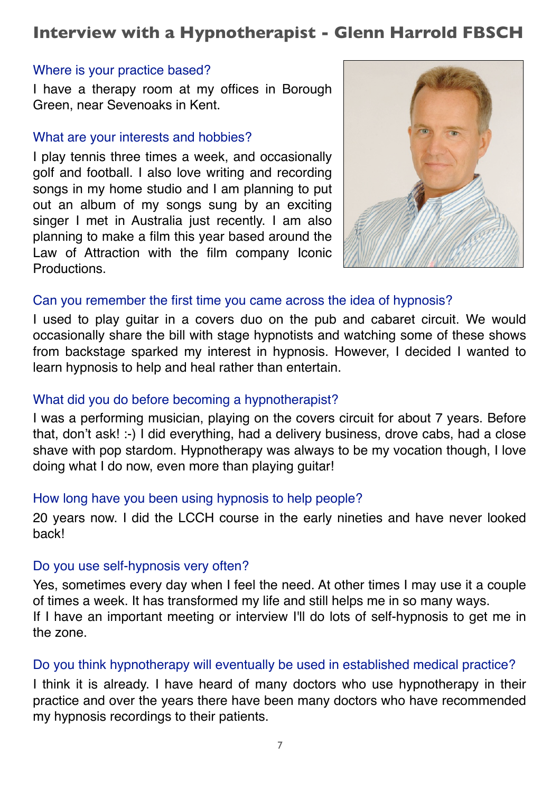# **Interview with a Hypnotherapist - Glenn Harrold FBSCH**

#### Where is your practice based?

I have a therapy room at my offices in Borough Green, near Sevenoaks in Kent.

### What are your interests and hobbies?

I play tennis three times a week, and occasionally golf and football. I also love writing and recording songs in my home studio and I am planning to put out an album of my songs sung by an exciting singer I met in Australia just recently. I am also planning to make a film this year based around the Law of Attraction with the film company Iconic Productions.



# Can you remember the first time you came across the idea of hypnosis?

I used to play guitar in a covers duo on the pub and cabaret circuit. We would occasionally share the bill with stage hypnotists and watching some of these shows from backstage sparked my interest in hypnosis. However, I decided I wanted to learn hypnosis to help and heal rather than entertain.

# What did you do before becoming a hypnotherapist?

I was a performing musician, playing on the covers circuit for about 7 years. Before that, don't ask! :-) I did everything, had a delivery business, drove cabs, had a close shave with pop stardom. Hypnotherapy was always to be my vocation though, I love doing what I do now, even more than playing guitar!

# How long have you been using hypnosis to help people?

20 years now. I did the LCCH course in the early nineties and have never looked back!

# Do you use self-hypnosis very often?

Yes, sometimes every day when I feel the need. At other times I may use it a couple of times a week. It has transformed my life and still helps me in so many ways. If I have an important meeting or interview I'll do lots of self-hypnosis to get me in the zone.

# Do you think hypnotherapy will eventually be used in established medical practice?

I think it is already. I have heard of many doctors who use hypnotherapy in their practice and over the years there have been many doctors who have recommended my hypnosis recordings to their patients.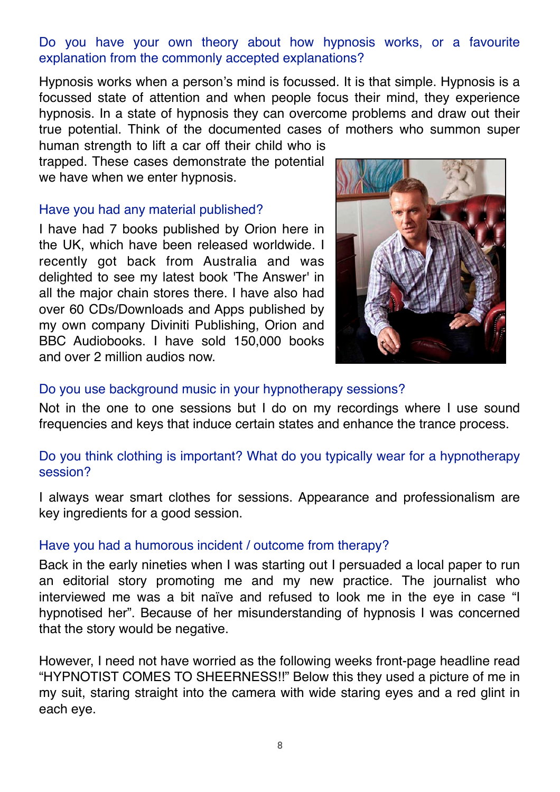# Do you have your own theory about how hypnosis works, or a favourite explanation from the commonly accepted explanations?

Hypnosis works when a person's mind is focussed. It is that simple. Hypnosis is a focussed state of attention and when people focus their mind, they experience hypnosis. In a state of hypnosis they can overcome problems and draw out their true potential. Think of the documented cases of mothers who summon super human strength to lift a car off their child who is

trapped. These cases demonstrate the potential we have when we enter hypnosis.

#### Have you had any material published?

I have had 7 books published by Orion here in the UK, which have been released worldwide. I recently got back from Australia and was delighted to see my latest book 'The Answer' in all the major chain stores there. I have also had over 60 CDs/Downloads and Apps published by my own company Diviniti Publishing, Orion and BBC Audiobooks. I have sold 150,000 books and over 2 million audios now.



#### Do you use background music in your hypnotherapy sessions?

Not in the one to one sessions but I do on my recordings where I use sound frequencies and keys that induce certain states and enhance the trance process.

# Do you think clothing is important? What do you typically wear for a hypnotherapy session?

I always wear smart clothes for sessions. Appearance and professionalism are key ingredients for a good session.

# Have you had a humorous incident / outcome from therapy?

Back in the early nineties when I was starting out I persuaded a local paper to run an editorial story promoting me and my new practice. The journalist who interviewed me was a bit naïve and refused to look me in the eye in case "I hypnotised her". Because of her misunderstanding of hypnosis I was concerned that the story would be negative.

However, I need not have worried as the following weeks front-page headline read "HYPNOTIST COMES TO SHEERNESS!!" Below this they used a picture of me in my suit, staring straight into the camera with wide staring eyes and a red glint in each eye.